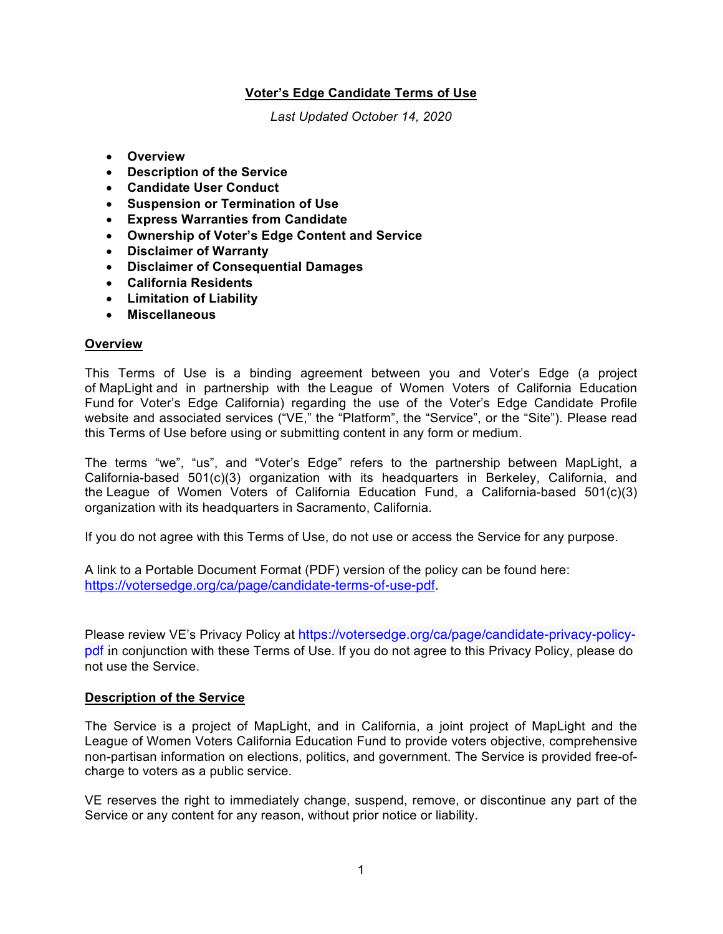# **Voter's Edge Candidate Terms of Use**

*Last Updated October 14, 2020*

- **Overview**
- **Description of the Service**
- **Candidate User Conduct**
- **Suspension or Termination of Use**
- **Express Warranties from Candidate**
- **Ownership of Voter's Edge Content and Service**
- **Disclaimer of Warranty**
- **Disclaimer of Consequential Damages**
- **California Residents**
- **Limitation of Liability**
- **Miscellaneous**

### **Overview**

This Terms of Use is a binding agreement between you and Voter's Edge (a project of MapLight and in partnership with the League of Women Voters of California Education Fund for Voter's Edge California) regarding the use of the Voter's Edge Candidate Profile website and associated services ("VE," the "Platform", the "Service", or the "Site"). Please read this Terms of Use before using or submitting content in any form or medium.

The terms "we", "us", and "Voter's Edge" refers to the partnership between MapLight, a California-based 501(c)(3) organization with its headquarters in Berkeley, California, and the League of Women Voters of California Education Fund, a California-based 501(c)(3) organization with its headquarters in Sacramento, California.

If you do not agree with this Terms of Use, do not use or access the Service for any purpose.

A link to a Portable Document Format (PDF) version of the policy can be found here: https://votersedge.org/ca/page/candidate-terms-of-use-pdf.

Please review VE's Privacy Policy at https://votersedge.org/ca/page/candidate-privacy-policypdf in conjunction with these Terms of Use. If you do not agree to this Privacy Policy, please do not use the Service.

### **Description of the Service**

The Service is a project of MapLight, and in California, a joint project of MapLight and the League of Women Voters California Education Fund to provide voters objective, comprehensive non-partisan information on elections, politics, and government. The Service is provided free-ofcharge to voters as a public service.

VE reserves the right to immediately change, suspend, remove, or discontinue any part of the Service or any content for any reason, without prior notice or liability.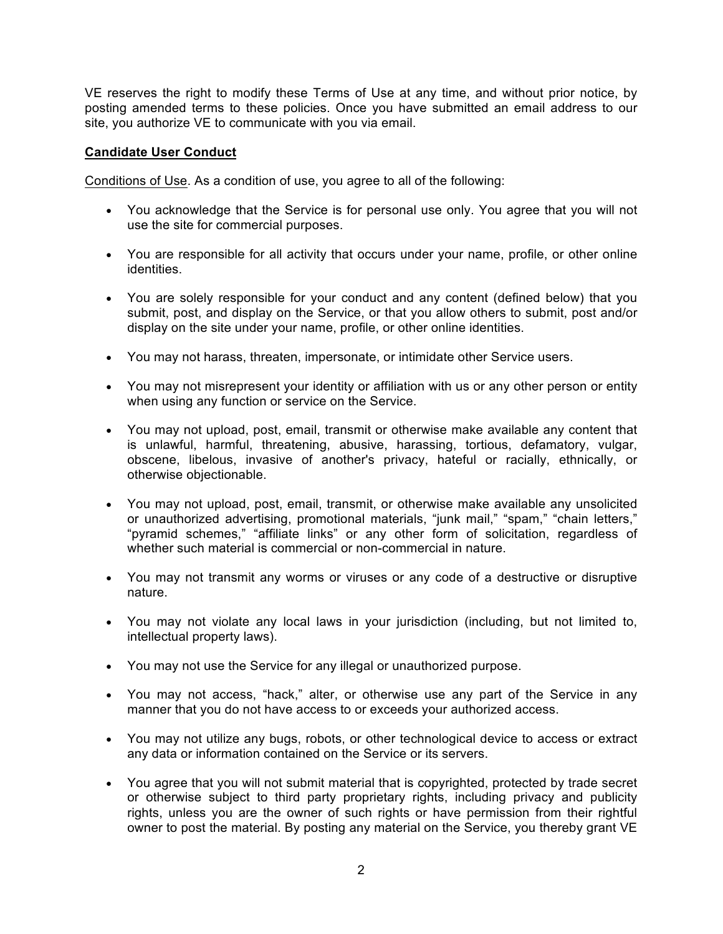VE reserves the right to modify these Terms of Use at any time, and without prior notice, by posting amended terms to these policies. Once you have submitted an email address to our site, you authorize VE to communicate with you via email.

## **Candidate User Conduct**

Conditions of Use. As a condition of use, you agree to all of the following:

- You acknowledge that the Service is for personal use only. You agree that you will not use the site for commercial purposes.
- You are responsible for all activity that occurs under your name, profile, or other online identities.
- You are solely responsible for your conduct and any content (defined below) that you submit, post, and display on the Service, or that you allow others to submit, post and/or display on the site under your name, profile, or other online identities.
- You may not harass, threaten, impersonate, or intimidate other Service users.
- You may not misrepresent your identity or affiliation with us or any other person or entity when using any function or service on the Service.
- You may not upload, post, email, transmit or otherwise make available any content that is unlawful, harmful, threatening, abusive, harassing, tortious, defamatory, vulgar, obscene, libelous, invasive of another's privacy, hateful or racially, ethnically, or otherwise objectionable.
- You may not upload, post, email, transmit, or otherwise make available any unsolicited or unauthorized advertising, promotional materials, "junk mail," "spam," "chain letters," "pyramid schemes," "affiliate links" or any other form of solicitation, regardless of whether such material is commercial or non-commercial in nature.
- You may not transmit any worms or viruses or any code of a destructive or disruptive nature.
- You may not violate any local laws in your jurisdiction (including, but not limited to, intellectual property laws).
- You may not use the Service for any illegal or unauthorized purpose.
- You may not access, "hack," alter, or otherwise use any part of the Service in any manner that you do not have access to or exceeds your authorized access.
- You may not utilize any bugs, robots, or other technological device to access or extract any data or information contained on the Service or its servers.
- You agree that you will not submit material that is copyrighted, protected by trade secret or otherwise subject to third party proprietary rights, including privacy and publicity rights, unless you are the owner of such rights or have permission from their rightful owner to post the material. By posting any material on the Service, you thereby grant VE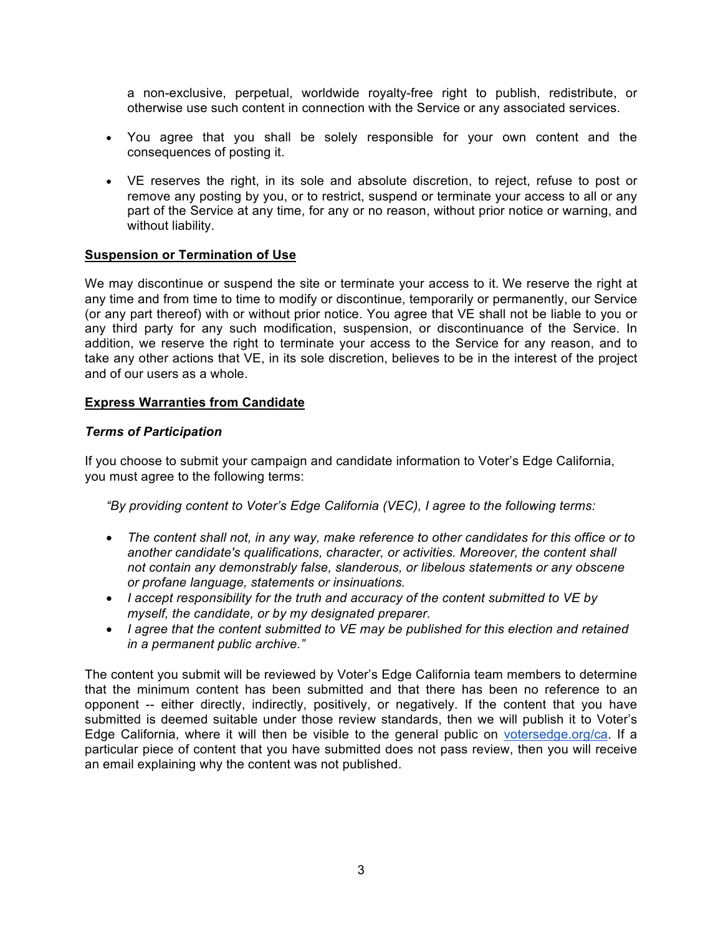a non-exclusive, perpetual, worldwide royalty-free right to publish, redistribute, or otherwise use such content in connection with the Service or any associated services.

- You agree that you shall be solely responsible for your own content and the consequences of posting it.
- VE reserves the right, in its sole and absolute discretion, to reject, refuse to post or remove any posting by you, or to restrict, suspend or terminate your access to all or any part of the Service at any time, for any or no reason, without prior notice or warning, and without liability.

### **Suspension or Termination of Use**

We may discontinue or suspend the site or terminate your access to it. We reserve the right at any time and from time to time to modify or discontinue, temporarily or permanently, our Service (or any part thereof) with or without prior notice. You agree that VE shall not be liable to you or any third party for any such modification, suspension, or discontinuance of the Service. In addition, we reserve the right to terminate your access to the Service for any reason, and to take any other actions that VE, in its sole discretion, believes to be in the interest of the project and of our users as a whole.

### **Express Warranties from Candidate**

### *Terms of Participation*

If you choose to submit your campaign and candidate information to Voter's Edge California, you must agree to the following terms:

*"By providing content to Voter's Edge California (VEC), I agree to the following terms:*

- *The content shall not, in any way, make reference to other candidates for this office or to another candidate's qualifications, character, or activities. Moreover, the content shall not contain any demonstrably false, slanderous, or libelous statements or any obscene or profane language, statements or insinuations.*
- *I accept responsibility for the truth and accuracy of the content submitted to VE by myself, the candidate, or by my designated preparer.*
- *I agree that the content submitted to VE may be published for this election and retained in a permanent public archive."*

The content you submit will be reviewed by Voter's Edge California team members to determine that the minimum content has been submitted and that there has been no reference to an opponent -- either directly, indirectly, positively, or negatively. If the content that you have submitted is deemed suitable under those review standards, then we will publish it to Voter's Edge California, where it will then be visible to the general public on votersedge.org/ca. If a particular piece of content that you have submitted does not pass review, then you will receive an email explaining why the content was not published.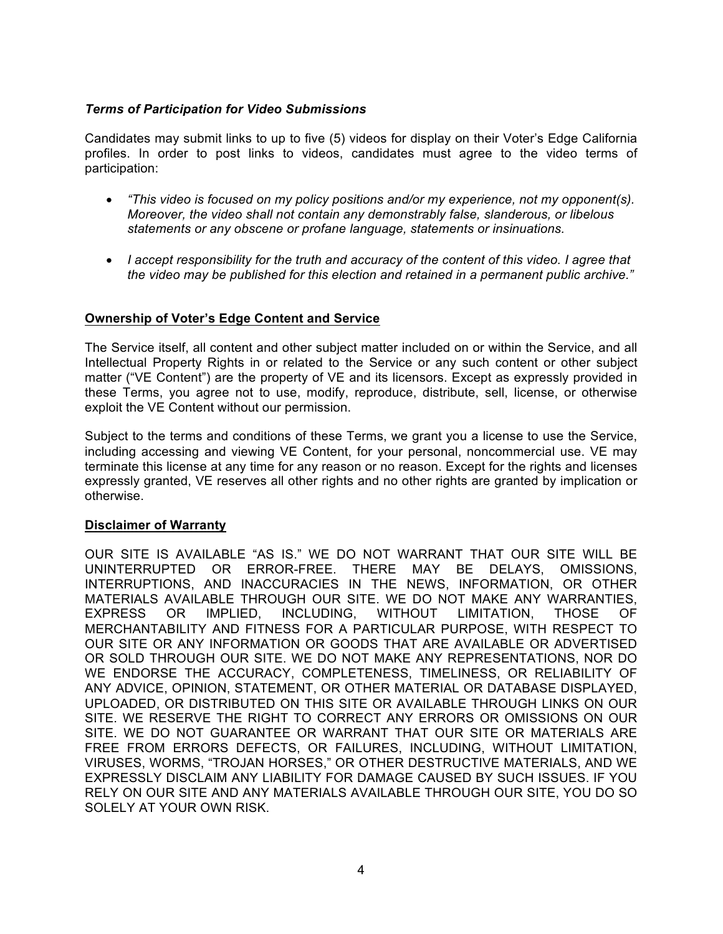### *Terms of Participation for Video Submissions*

Candidates may submit links to up to five (5) videos for display on their Voter's Edge California profiles. In order to post links to videos, candidates must agree to the video terms of participation:

- *"This video is focused on my policy positions and/or my experience, not my opponent(s). Moreover, the video shall not contain any demonstrably false, slanderous, or libelous statements or any obscene or profane language, statements or insinuations.*
- *I accept responsibility for the truth and accuracy of the content of this video. I agree that the video may be published for this election and retained in a permanent public archive."*

### **Ownership of Voter's Edge Content and Service**

The Service itself, all content and other subject matter included on or within the Service, and all Intellectual Property Rights in or related to the Service or any such content or other subject matter ("VE Content") are the property of VE and its licensors. Except as expressly provided in these Terms, you agree not to use, modify, reproduce, distribute, sell, license, or otherwise exploit the VE Content without our permission.

Subject to the terms and conditions of these Terms, we grant you a license to use the Service, including accessing and viewing VE Content, for your personal, noncommercial use. VE may terminate this license at any time for any reason or no reason. Except for the rights and licenses expressly granted, VE reserves all other rights and no other rights are granted by implication or otherwise.

### **Disclaimer of Warranty**

OUR SITE IS AVAILABLE "AS IS." WE DO NOT WARRANT THAT OUR SITE WILL BE UNINTERRUPTED OR ERROR-FREE. THERE MAY BE DELAYS, OMISSIONS, INTERRUPTIONS, AND INACCURACIES IN THE NEWS, INFORMATION, OR OTHER MATERIALS AVAILABLE THROUGH OUR SITE. WE DO NOT MAKE ANY WARRANTIES, EXPRESS OR IMPLIED, INCLUDING, WITHOUT LIMITATION, THOSE OF MERCHANTABILITY AND FITNESS FOR A PARTICULAR PURPOSE, WITH RESPECT TO OUR SITE OR ANY INFORMATION OR GOODS THAT ARE AVAILABLE OR ADVERTISED OR SOLD THROUGH OUR SITE. WE DO NOT MAKE ANY REPRESENTATIONS, NOR DO WE ENDORSE THE ACCURACY, COMPLETENESS, TIMELINESS, OR RELIABILITY OF ANY ADVICE, OPINION, STATEMENT, OR OTHER MATERIAL OR DATABASE DISPLAYED, UPLOADED, OR DISTRIBUTED ON THIS SITE OR AVAILABLE THROUGH LINKS ON OUR SITE. WE RESERVE THE RIGHT TO CORRECT ANY ERRORS OR OMISSIONS ON OUR SITE. WE DO NOT GUARANTEE OR WARRANT THAT OUR SITE OR MATERIALS ARE FREE FROM ERRORS DEFECTS, OR FAILURES, INCLUDING, WITHOUT LIMITATION, VIRUSES, WORMS, "TROJAN HORSES," OR OTHER DESTRUCTIVE MATERIALS, AND WE EXPRESSLY DISCLAIM ANY LIABILITY FOR DAMAGE CAUSED BY SUCH ISSUES. IF YOU RELY ON OUR SITE AND ANY MATERIALS AVAILABLE THROUGH OUR SITE, YOU DO SO SOLELY AT YOUR OWN RISK.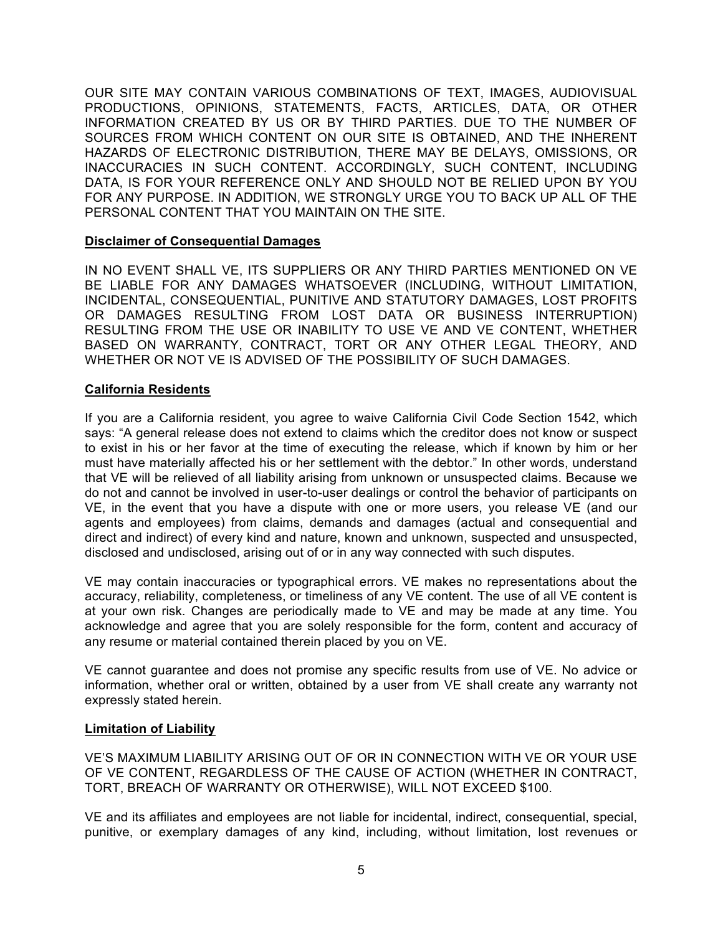OUR SITE MAY CONTAIN VARIOUS COMBINATIONS OF TEXT, IMAGES, AUDIOVISUAL PRODUCTIONS, OPINIONS, STATEMENTS, FACTS, ARTICLES, DATA, OR OTHER INFORMATION CREATED BY US OR BY THIRD PARTIES. DUE TO THE NUMBER OF SOURCES FROM WHICH CONTENT ON OUR SITE IS OBTAINED, AND THE INHERENT HAZARDS OF ELECTRONIC DISTRIBUTION, THERE MAY BE DELAYS, OMISSIONS, OR INACCURACIES IN SUCH CONTENT. ACCORDINGLY, SUCH CONTENT, INCLUDING DATA, IS FOR YOUR REFERENCE ONLY AND SHOULD NOT BE RELIED UPON BY YOU FOR ANY PURPOSE. IN ADDITION, WE STRONGLY URGE YOU TO BACK UP ALL OF THE PERSONAL CONTENT THAT YOU MAINTAIN ON THE SITE.

### **Disclaimer of Consequential Damages**

IN NO EVENT SHALL VE, ITS SUPPLIERS OR ANY THIRD PARTIES MENTIONED ON VE BE LIABLE FOR ANY DAMAGES WHATSOEVER (INCLUDING, WITHOUT LIMITATION, INCIDENTAL, CONSEQUENTIAL, PUNITIVE AND STATUTORY DAMAGES, LOST PROFITS OR DAMAGES RESULTING FROM LOST DATA OR BUSINESS INTERRUPTION) RESULTING FROM THE USE OR INABILITY TO USE VE AND VE CONTENT, WHETHER BASED ON WARRANTY, CONTRACT, TORT OR ANY OTHER LEGAL THEORY, AND WHETHER OR NOT VE IS ADVISED OF THE POSSIBILITY OF SUCH DAMAGES.

### **California Residents**

If you are a California resident, you agree to waive California Civil Code Section 1542, which says: "A general release does not extend to claims which the creditor does not know or suspect to exist in his or her favor at the time of executing the release, which if known by him or her must have materially affected his or her settlement with the debtor." In other words, understand that VE will be relieved of all liability arising from unknown or unsuspected claims. Because we do not and cannot be involved in user-to-user dealings or control the behavior of participants on VE, in the event that you have a dispute with one or more users, you release VE (and our agents and employees) from claims, demands and damages (actual and consequential and direct and indirect) of every kind and nature, known and unknown, suspected and unsuspected, disclosed and undisclosed, arising out of or in any way connected with such disputes.

VE may contain inaccuracies or typographical errors. VE makes no representations about the accuracy, reliability, completeness, or timeliness of any VE content. The use of all VE content is at your own risk. Changes are periodically made to VE and may be made at any time. You acknowledge and agree that you are solely responsible for the form, content and accuracy of any resume or material contained therein placed by you on VE.

VE cannot guarantee and does not promise any specific results from use of VE. No advice or information, whether oral or written, obtained by a user from VE shall create any warranty not expressly stated herein.

### **Limitation of Liability**

VE'S MAXIMUM LIABILITY ARISING OUT OF OR IN CONNECTION WITH VE OR YOUR USE OF VE CONTENT, REGARDLESS OF THE CAUSE OF ACTION (WHETHER IN CONTRACT, TORT, BREACH OF WARRANTY OR OTHERWISE), WILL NOT EXCEED \$100.

VE and its affiliates and employees are not liable for incidental, indirect, consequential, special, punitive, or exemplary damages of any kind, including, without limitation, lost revenues or